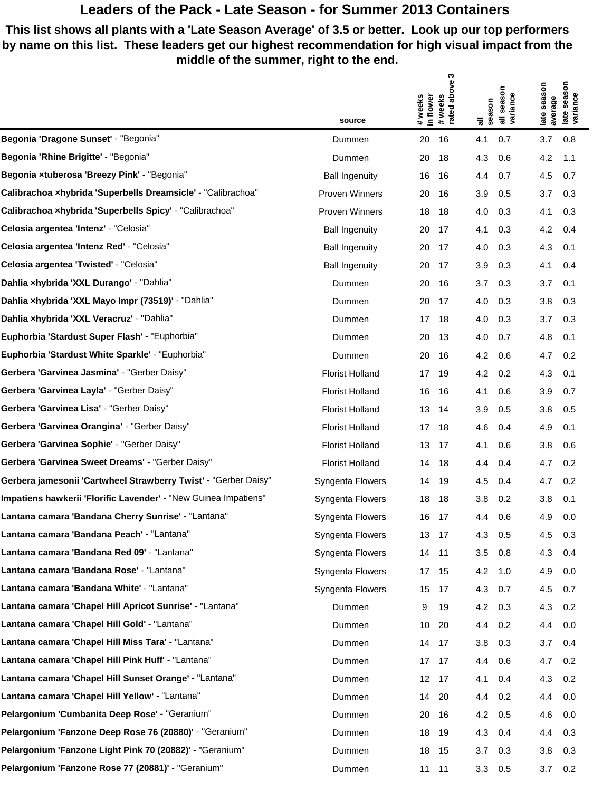## **Leaders of the Pack - Late Season - for Summer 2013 Containers**

**This list shows all plants with a 'Late Season Average' of 3.5 or better. Look up our top performers by name on this list. These leaders get our highest recommendation for high visual impact from the middle of the summer, right to the end.**

|                                                                 |                         | S                                                  | season                  | season<br>season                         |
|-----------------------------------------------------------------|-------------------------|----------------------------------------------------|-------------------------|------------------------------------------|
|                                                                 |                         | above                                              |                         |                                          |
|                                                                 | source                  | weeks<br>in flower<br>#weeks<br>rated<br>$\ddot{}$ | variance<br>season<br>듷 | late seas<br>variance<br>average<br>late |
| Begonia 'Dragone Sunset' - "Begonia"                            | Dummen                  | 20<br>16                                           | 4.1<br>0.7              | 3.7<br>0.8                               |
| Begonia 'Rhine Brigitte' - "Begonia"                            | Dummen                  | 20<br>18                                           | 4.3<br>0.6              | 4.2<br>1.1                               |
| Begonia xtuberosa 'Breezy Pink' - "Begonia"                     | <b>Ball Ingenuity</b>   | 16<br>16                                           | 4.4<br>0.7              | 4.5<br>0.7                               |
| Calibrachoa xhybrida 'Superbells Dreamsicle' - "Calibrachoa"    | Proven Winners          | 20<br>16                                           | 3.9<br>0.5              | 3.7<br>0.3                               |
| Calibrachoa xhybrida 'Superbells Spicy' - "Calibrachoa"         | Proven Winners          | 18<br>18                                           | 4.0<br>0.3              | 4.1<br>0.3                               |
| Celosia argentea 'Intenz' - "Celosia"                           | <b>Ball Ingenuity</b>   | 20<br>17                                           | 4.1<br>0.3              | 4.2<br>0.4                               |
| Celosia argentea 'Intenz Red' - "Celosia"                       | <b>Ball Ingenuity</b>   | 20<br>17                                           | 4.0<br>0.3              | 4.3<br>0.1                               |
| Celosia argentea 'Twisted' - "Celosia"                          | <b>Ball Ingenuity</b>   | 17<br>20                                           | 3.9<br>0.3              | 4.1<br>0.4                               |
| Dahlia xhybrida 'XXL Durango' - "Dahlia"                        | Dummen                  | 20<br>16                                           | 3.7<br>0.3              | 3.7<br>0.1                               |
| Dahlia xhybrida 'XXL Mayo Impr (73519)' - "Dahlia"              | Dummen                  | 20<br>17                                           | 4.0<br>0.3              | 3.8<br>0.3                               |
| Dahlia xhybrida 'XXL Veracruz' - "Dahlia"                       | Dummen                  | 17 <sup>7</sup><br>18                              | 4.0<br>0.3              | 3.7<br>0.3                               |
| Euphorbia 'Stardust Super Flash' - "Euphorbia"                  | Dummen                  | 20<br>13                                           | 4.0<br>0.7              | 4.8<br>0.1                               |
| Euphorbia 'Stardust White Sparkle' - "Euphorbia"                | Dummen                  | 20<br>16                                           | 4.2<br>0.6              | 0.2<br>4.7                               |
| Gerbera 'Garvinea Jasmina' - "Gerber Daisy"                     | <b>Florist Holland</b>  | 17<br>19                                           | 4.2<br>0.2              | 4.3<br>0.1                               |
| Gerbera 'Garvinea Layla' - "Gerber Daisy"                       | <b>Florist Holland</b>  | 16<br>16                                           | 4.1<br>0.6              | 3.9<br>0.7                               |
| Gerbera 'Garvinea Lisa' - "Gerber Daisy"                        | <b>Florist Holland</b>  | 13<br>14                                           | 3.9<br>0.5              | 3.8<br>0.5                               |
| Gerbera 'Garvinea Orangina' - "Gerber Daisy"                    | <b>Florist Holland</b>  | 17 18                                              | 4.6<br>0.4              | 4.9<br>0.1                               |
| Gerbera 'Garvinea Sophie' - "Gerber Daisy"                      | <b>Florist Holland</b>  | 13 <sup>°</sup><br>- 17                            | 4.1<br>0.6              | 3.8<br>0.6                               |
| Gerbera 'Garvinea Sweet Dreams' - "Gerber Daisy"                | <b>Florist Holland</b>  | 14<br>18                                           | 4.4<br>0.4              | 0.2<br>4.7                               |
| Gerbera jamesonii 'Cartwheel Strawberry Twist' - "Gerber Daisy" | Syngenta Flowers        | 14<br>19                                           | 4.5<br>0.4              | 4.7<br>0.2                               |
| Impatiens hawkerii 'Florific Lavender' - "New Guinea Impatiens" | Syngenta Flowers        | 18<br>18                                           | 3.8<br>0.2              | 3.8<br>0.1                               |
| Lantana camara 'Bandana Cherry Sunrise' - "Lantana"             | Syngenta Flowers        | 16 17                                              | 4.4<br>0.6              | 4.9<br>0.0                               |
| Lantana camara 'Bandana Peach' - "Lantana"                      | Syngenta Flowers        | 13 17                                              | 4.3 0.5                 | 0.3<br>4.5                               |
| Lantana camara 'Bandana Red 09' - "Lantana"                     | <b>Syngenta Flowers</b> | 14 11                                              | $3.5\quad 0.8$          | 4.3 0.4                                  |
| Lantana camara 'Bandana Rose' - "Lantana"                       | Syngenta Flowers        | 17 15                                              | 4.2 1.0                 | 0.0<br>4.9                               |
| Lantana camara 'Bandana White' - "Lantana"                      | Syngenta Flowers        | 15 17                                              | 4.3 0.7                 | 0.7<br>4.5                               |
| Lantana camara 'Chapel Hill Apricot Sunrise' - "Lantana"        | Dummen                  | 19<br>9                                            | 4.2 0.3                 | 0.2<br>4.3                               |
| Lantana camara 'Chapel Hill Gold' - "Lantana"                   | Dummen                  | 10 20                                              | 4.4 0.2                 | 4.4 0.0                                  |
| Lantana camara 'Chapel Hill Miss Tara' - "Lantana"              | Dummen                  | 14 17                                              | $3.8$ 0.3               | 3.7<br>0.4                               |
| Lantana camara 'Chapel Hill Pink Huff' - "Lantana"              | Dummen                  | 17 17                                              | 4.4 0.6                 | 4.7 0.2                                  |
| Lantana camara 'Chapel Hill Sunset Orange' - "Lantana"          | Dummen                  | 12 17                                              | 4.1<br>0.4              | 4.3 0.2                                  |
| Lantana camara 'Chapel Hill Yellow' - "Lantana"                 | Dummen                  | 14 20                                              | 4.4 0.2                 | 4.4 0.0                                  |
| Pelargonium 'Cumbanita Deep Rose' - "Geranium"                  | Dummen                  | 20 16                                              | 4.2 0.5                 | 4.6<br>0.0                               |
| Pelargonium 'Fanzone Deep Rose 76 (20880)' - "Geranium"         | Dummen                  | 18 19                                              | 4.3 0.4                 | 4.4 0.3                                  |
| Pelargonium 'Fanzone Light Pink 70 (20882)' - "Geranium"        | Dummen                  | 18 15                                              | 3.7<br>0.3              | 3.8<br>0.3                               |
| Pelargonium 'Fanzone Rose 77 (20881)' - "Geranium"              | Dummen                  | 11 11                                              | $3.3\quad 0.5$          | $3.7\quad 0.2$                           |